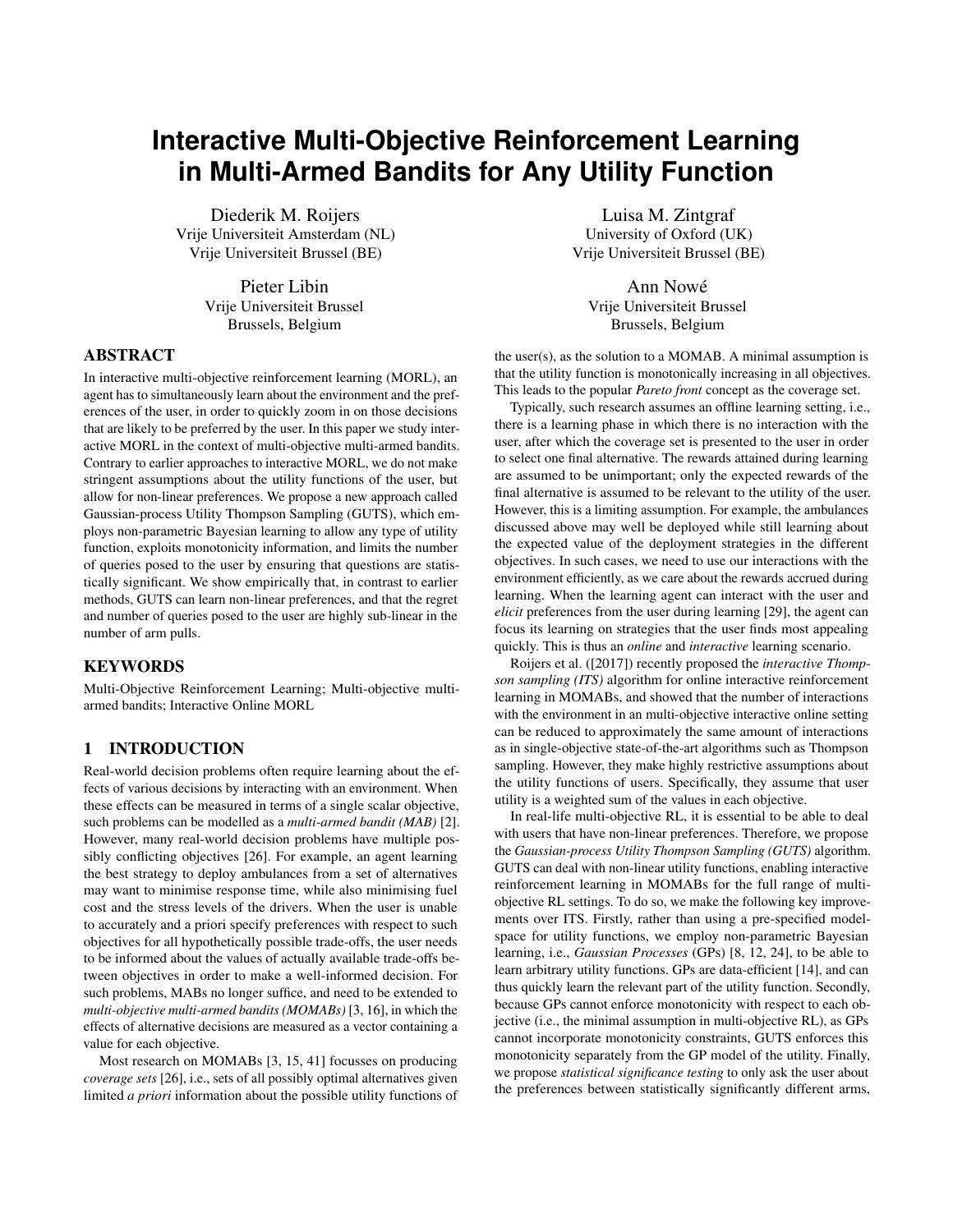# **Interactive Multi-Objective Reinforcement Learning in Multi-Armed Bandits for Any Utility Function**

Diederik M. Roijers Vrije Universiteit Amsterdam (NL) Vrije Universiteit Brussel (BE)

> Pieter Libin Vrije Universiteit Brussel Brussels, Belgium

## **ABSTRACT**

In interactive multi-objective reinforcement learning (MORL), an agent has to simultaneously learn about the environment and the preferences of the user, in order to quickly zoom in on those decisions that are likely to be preferred by the user. In this paper we study interactive MORL in the context of multi-objective multi-armed bandits. Contrary to earlier approaches to interactive MORL, we do not make stringent assumptions about the utility functions of the user, but allow for non-linear preferences. We propose a new approach called Gaussian-process Utility Thompson Sampling (GUTS), which employs non-parametric Bayesian learning to allow any type of utility function, exploits monotonicity information, and limits the number of queries posed to the user by ensuring that questions are statistically significant. We show empirically that, in contrast to earlier methods, GUTS can learn non-linear preferences, and that the regret and number of queries posed to the user are highly sub-linear in the number of arm pulls.

## **KEYWORDS**

Multi-Objective Reinforcement Learning; Multi-objective multiarmed bandits; Interactive Online MORL

# 1 INTRODUCTION

Real-world decision problems often require learning about the effects of various decisions by interacting with an environment. When these effects can be measured in terms of a single scalar objective, such problems can be modelled as a *multi-armed bandit (MAB)* [\[2\]](#page-7-0). However, many real-world decision problems have multiple possibly conflicting objectives [\[26\]](#page-7-1). For example, an agent learning the best strategy to deploy ambulances from a set of alternatives may want to minimise response time, while also minimising fuel cost and the stress levels of the drivers. When the user is unable to accurately and a priori specify preferences with respect to such objectives for all hypothetically possible trade-offs, the user needs to be informed about the values of actually available trade-offs between objectives in order to make a well-informed decision. For such problems, MABs no longer suffice, and need to be extended to *multi-objective multi-armed bandits (MOMABs)* [\[3,](#page-7-2) [16\]](#page-7-3), in which the effects of alternative decisions are measured as a vector containing a value for each objective.

Most research on MOMABs [\[3,](#page-7-2) [15,](#page-7-4) [41\]](#page-7-5) focusses on producing *coverage sets* [\[26\]](#page-7-1), i.e., sets of all possibly optimal alternatives given limited *a priori* information about the possible utility functions of

Luisa M. Zintgraf University of Oxford (UK) Vrije Universiteit Brussel (BE)

Ann Nowé Vrije Universiteit Brussel Brussels, Belgium

the user(s), as the solution to a MOMAB. A minimal assumption is that the utility function is monotonically increasing in all objectives. This leads to the popular *Pareto front* concept as the coverage set.

Typically, such research assumes an offline learning setting, i.e., there is a learning phase in which there is no interaction with the user, after which the coverage set is presented to the user in order to select one final alternative. The rewards attained during learning are assumed to be unimportant; only the expected rewards of the final alternative is assumed to be relevant to the utility of the user. However, this is a limiting assumption. For example, the ambulances discussed above may well be deployed while still learning about the expected value of the deployment strategies in the different objectives. In such cases, we need to use our interactions with the environment efficiently, as we care about the rewards accrued during learning. When the learning agent can interact with the user and *elicit* preferences from the user during learning [\[29\]](#page-7-6), the agent can focus its learning on strategies that the user finds most appealing quickly. This is thus an *online* and *interactive* learning scenario.

[Roijers et al.](#page-7-6) ([\[2017\]](#page-7-6)) recently proposed the *interactive Thompson sampling (ITS)* algorithm for online interactive reinforcement learning in MOMABs, and showed that the number of interactions with the environment in an multi-objective interactive online setting can be reduced to approximately the same amount of interactions as in single-objective state-of-the-art algorithms such as Thompson sampling. However, they make highly restrictive assumptions about the utility functions of users. Specifically, they assume that user utility is a weighted sum of the values in each objective.

In real-life multi-objective RL, it is essential to be able to deal with users that have non-linear preferences. Therefore, we propose the *Gaussian-process Utility Thompson Sampling (GUTS)* algorithm. GUTS can deal with non-linear utility functions, enabling interactive reinforcement learning in MOMABs for the full range of multiobjective RL settings. To do so, we make the following key improvements over ITS. Firstly, rather than using a pre-specified modelspace for utility functions, we employ non-parametric Bayesian learning, i.e., *Gaussian Processes* (GPs) [\[8,](#page-7-7) [12,](#page-7-8) [24\]](#page-7-9), to be able to learn arbitrary utility functions. GPs are data-efficient [\[14\]](#page-7-10), and can thus quickly learn the relevant part of the utility function. Secondly, because GPs cannot enforce monotonicity with respect to each objective (i.e., the minimal assumption in multi-objective RL), as GPs cannot incorporate monotonicity constraints, GUTS enforces this monotonicity separately from the GP model of the utility. Finally, we propose *statistical significance testing* to only ask the user about the preferences between statistically significantly different arms,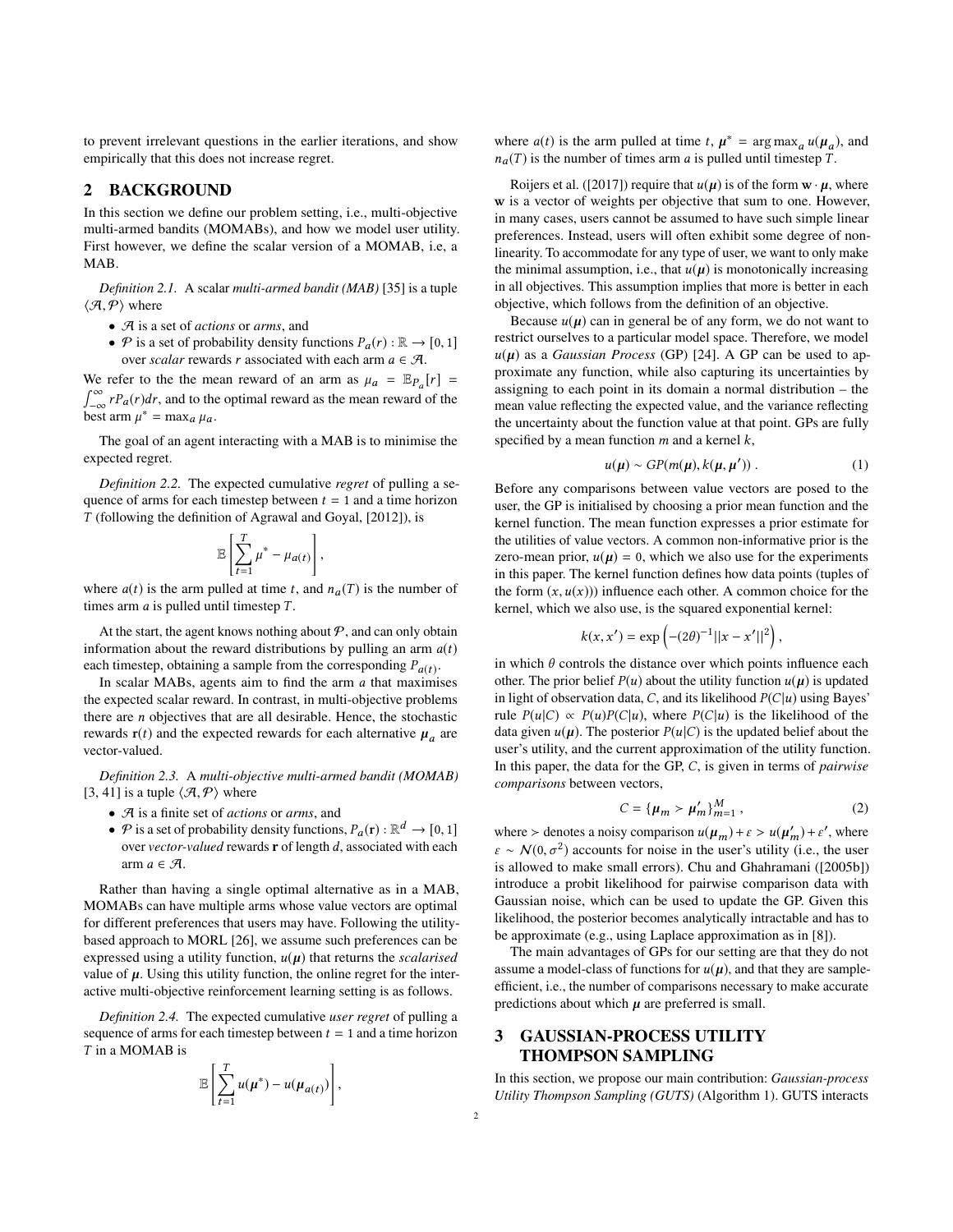to prevent irrelevant questions in the earlier iterations, and show empirically that this does not increase regret.

## <span id="page-1-3"></span>2 BACKGROUND

In this section we define our problem setting, i.e., multi-objective multi-armed bandits (MOMABs), and how we model user utility. First however, we define the scalar version of a MOMAB, i.e, a MAB.

*Definition 2.1.* A scalar *multi-armed bandit (MAB)* [\[35\]](#page-7-11) is a tuple  $\langle \mathcal{A}, \mathcal{P} \rangle$  where

- A is a set of *actions* or *arms*, and
- P is a set of probability density functions  $P_a(r) : \mathbb{R} \to [0, 1]$ over *scalar* rewards *r* associated with each arm  $a \in \mathcal{A}$ .

We refer to the the mean reward of an arm as  $\mu_a = \mathbb{E}_{P_a}[r]$ We refer to the the mean reward of an arm as  $\mu_a = \mathbb{E}_{P_a}[r] = \int_{-\infty}^{\infty} rP_a(r)dr$ , and to the optimal reward as the mean reward of the hest arm  $u^* = \max_{\mu} u$ . best arm  $\mu^* = \max_a \mu_a$ .

The goal of an agent interacting with a MAB is to minimise the expected regret.

*Definition 2.2.* The expected cumulative *regret* of pulling a sequence of arms for each timestep between  $t = 1$  and a time horizon T (following the definition of [Agrawal and Goyal,](#page-7-12) [\[2012\]](#page-7-12)), is

$$
\mathbb{E}\left[\sum_{t=1}^T\mu^* - \mu_{a(t)}\right],
$$

where  $a(t)$  is the arm pulled at time t, and  $n_a(T)$  is the number of times arm a is pulled until timester T times arm  $a$  is pulled until timestep  $T$ .

At the start, the agent knows nothing about  $P$ , and can only obtain information about the reward distributions by pulling an arm  $a(t)$ each timestep, obtaining a sample from the corresponding  $P_{a(t)}$ .<br>In scalar MABs, agents aim to find the arm a that maximi

In scalar MABs, agents aim to find the arm  $a$  that maximises the expected scalar reward. In contrast, in multi-objective problems there are n objectives that are all desirable. Hence, the stochastic rewards  $\mathbf{r}(t)$  and the expected rewards for each alternative  $\mu_a$  are vector-valued vector-valued.

*Definition 2.3.* A *multi-objective multi-armed bandit (MOMAB)* [\[3,](#page-7-2) [41\]](#page-7-5) is a tuple  $\langle \mathcal{A}, \mathcal{P} \rangle$  where

- A is a finite set of *actions* or *arms*, and
- $\mathcal P$  is a set of probability density functions,  $P_a(\mathbf r) : \mathbb{R}^d \to [0, 1]$ <br>over vector valued rewards **r** of length d, associated with each over *vector-valued* rewards <sup>r</sup> of length d, associated with each arm  $a \in \mathcal{A}$ .

Rather than having a single optimal alternative as in a MAB, MOMABs can have multiple arms whose value vectors are optimal for different preferences that users may have. Following the utilitybased approach to MORL [\[26\]](#page-7-1), we assume such preferences can be expressed using a utility function,  $u(\mu)$  that returns the *scalarised* value of  $\mu$ . Using this utility function, the online regret for the interactive multi-objective reinforcement learning setting is as follows.

<span id="page-1-1"></span>*Definition 2.4.* The expected cumulative *user regret* of pulling a sequence of arms for each timestep between  $t = 1$  and a time horizon T in a MOMAB is

$$
\mathbb{E}\left[\sum_{t=1}^T u(\boldsymbol{\mu}^*) - u(\boldsymbol{\mu}_{a(t)})\right],
$$

where  $a(t)$  is the arm pulled at time t,  $\mu^* = \arg \max_a u(\mu_a)$ , and  $n_{-}(T)$  is the number of times arm a is pulled until timesten T  $n_a(T)$  is the number of times arm a is pulled until timestep T.

[Roijers et al.](#page-7-6) ([\[2017\]](#page-7-6)) require that  $u(\mu)$  is of the form  $w \cdot \mu$ , where w is a vector of weights per objective that sum to one. However, in many cases, users cannot be assumed to have such simple linear preferences. Instead, users will often exhibit some degree of nonlinearity. To accommodate for any type of user, we want to only make the minimal assumption, i.e., that  $u(\mu)$  is monotonically increasing in all objectives. This assumption implies that more is better in each objective, which follows from the definition of an objective.

Because  $u(\mu)$  can in general be of any form, we do not want to restrict ourselves to a particular model space. Therefore, we model  $u(\mu)$  as a *Gaussian Process* (GP) [\[24\]](#page-7-9). A GP can be used to approximate any function, while also capturing its uncertainties by assigning to each point in its domain a normal distribution – the mean value reflecting the expected value, and the variance reflecting the uncertainty about the function value at that point. GPs are fully specified by a mean function  $m$  and a kernel  $k$ ,

<span id="page-1-2"></span>
$$
u(\mu) \sim GP(m(\mu), k(\mu, \mu')) \ . \tag{1}
$$

Before any comparisons between value vectors are posed to the user, the GP is initialised by choosing a prior mean function and the kernel function. The mean function expresses a prior estimate for the utilities of value vectors. A common non-informative prior is the zero-mean prior,  $u(\mu) = 0$ , which we also use for the experiments in this paper. The kernel function defines how data points (tuples of the form  $(x, u(x))$  influence each other. A common choice for the kernel, which we also use, is the squared exponential kernel:

$$
k(x, x') = \exp(-(2\theta)^{-1}||x - x'||^2),
$$

in which  $\theta$  controls the distance over which points influence each other. The prior belief  $P(u)$  about the utility function  $u(\mu)$  is updated in light of observation data, C, and its likelihood  $P(C|u)$  using Bayes' rule  $P(u|C) \propto P(u)P(C|u)$ , where  $P(C|u)$  is the likelihood of the data given  $u(\mu)$ . The posterior  $P(u|C)$  is the updated belief about the user's utility, and the current approximation of the utility function. In this paper, the data for the GP, C, is given in terms of *pairwise comparisons* between vectors,

<span id="page-1-0"></span>
$$
C = {\mu_m > \mu'_m}_{m=1}^M, \tag{2}
$$

where > denotes a noisy comparison  $u(\mu_m) + \varepsilon > u(\mu'_m) + \varepsilon'$ , where  $\varepsilon \sim N(0, \sigma^2)$  accounts for noise in the user's utility (i.e., the user  $\varepsilon \sim \mathcal{N}(0, \sigma^2)$  accounts for noise in the user's utility (i.e., the user<br>is allowed to make small errors). Chu and Ghabramani (12005bl) is allowed to make small errors). [Chu and Ghahramani](#page-7-8) ([\[2005b\]](#page-7-8)) introduce a probit likelihood for pairwise comparison data with Gaussian noise, which can be used to update the GP. Given this likelihood, the posterior becomes analytically intractable and has to be approximate (e.g., using Laplace approximation as in [\[8\]](#page-7-7)).

The main advantages of GPs for our setting are that they do not assume a model-class of functions for  $u(\mu)$ , and that they are sampleefficient, i.e., the number of comparisons necessary to make accurate predictions about which  $\mu$  are preferred is small.

# 3 GAUSSIAN-PROCESS UTILITY THOMPSON SAMPLING

In this section, we propose our main contribution: *Gaussian-process Utility Thompson Sampling (GUTS)* (Algorithm [1\)](#page-2-0). GUTS interacts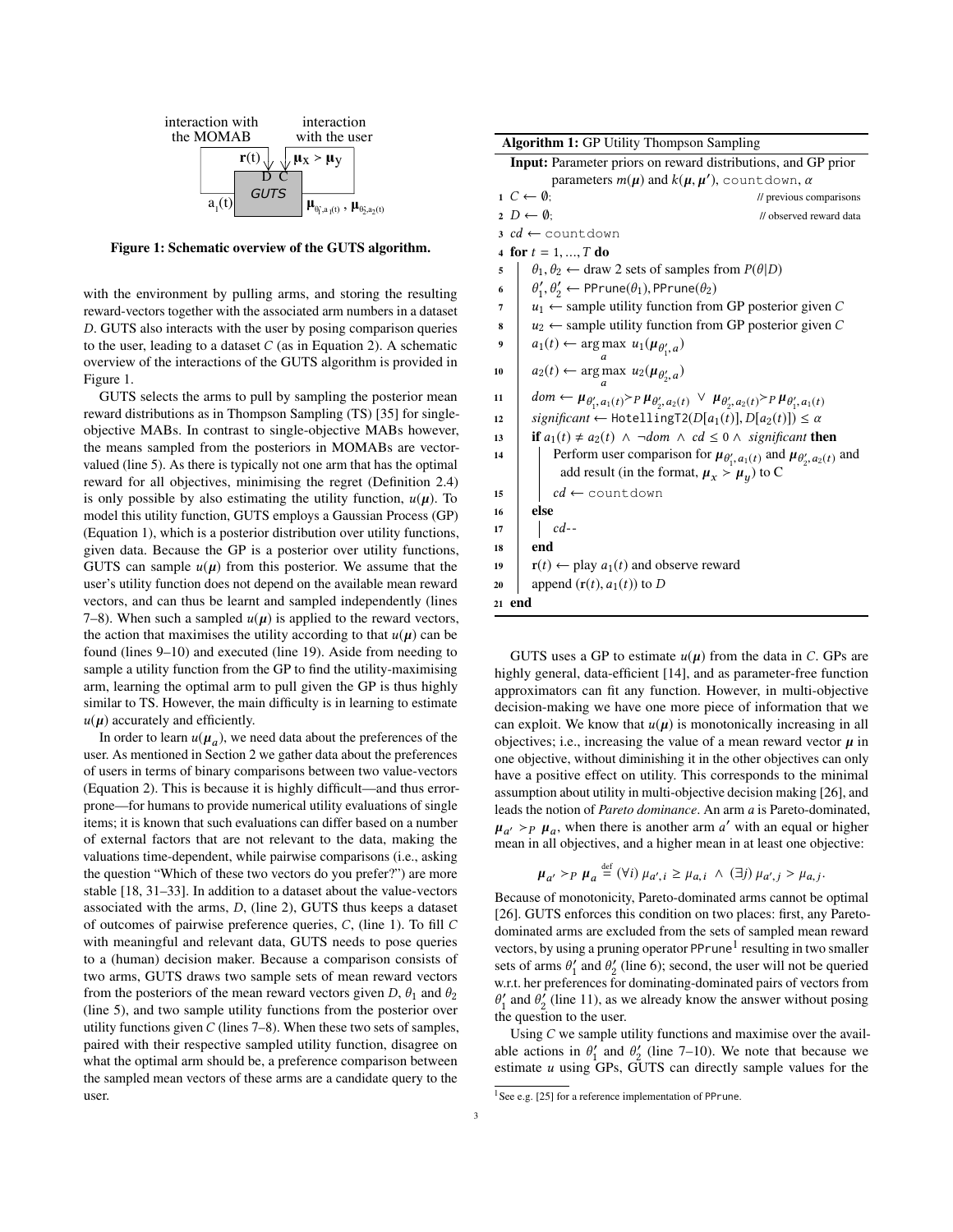<span id="page-2-1"></span>

Figure 1: Schematic overview of the GUTS algorithm.

with the environment by pulling arms, and storing the resulting reward-vectors together with the associated arm numbers in a dataset D. GUTS also interacts with the user by posing comparison queries to the user, leading to a dataset  $C$  (as in Equation [2\)](#page-1-0). A schematic overview of the interactions of the GUTS algorithm is provided in Figure [1.](#page-2-1)

GUTS selects the arms to pull by sampling the posterior mean reward distributions as in Thompson Sampling (TS) [\[35\]](#page-7-11) for singleobjective MABs. In contrast to single-objective MABs however, the means sampled from the posteriors in MOMABs are vectorvalued (line [5\)](#page-2-2). As there is typically not one arm that has the optimal reward for all objectives, minimising the regret (Definition [2.4\)](#page-1-1) is only possible by also estimating the utility function,  $u(\mu)$ . To model this utility function, GUTS employs a Gaussian Process (GP) (Equation [1\)](#page-1-2), which is a posterior distribution over utility functions, given data. Because the GP is a posterior over utility functions, GUTS can sample  $u(\mu)$  from this posterior. We assume that the user's utility function does not depend on the available mean reward vectors, and can thus be learnt and sampled independently (lines [7–](#page-2-3)[8\)](#page-2-4). When such a sampled  $u(\mu)$  is applied to the reward vectors, the action that maximises the utility according to that  $u(\mu)$  can be found (lines [9–](#page-2-5)[10\)](#page-2-6) and executed (line [19\)](#page-2-7). Aside from needing to sample a utility function from the GP to find the utility-maximising arm, learning the optimal arm to pull given the GP is thus highly similar to TS. However, the main difficulty is in learning to estimate  $u(\mu)$  accurately and efficiently.

In order to learn  $u(\mu_a)$ , we need data about the preferences of the rest as mentioned in Section 2 we gather data about the preferences user. As mentioned in Section [2](#page-1-3) we gather data about the preferences of users in terms of binary comparisons between two value-vectors (Equation [2\)](#page-1-0). This is because it is highly difficult—and thus errorprone—for humans to provide numerical utility evaluations of single items; it is known that such evaluations can differ based on a number of external factors that are not relevant to the data, making the valuations time-dependent, while pairwise comparisons (i.e., asking the question "Which of these two vectors do you prefer?") are more stable [\[18,](#page-7-13) [31](#page-7-14)[–33\]](#page-7-15). In addition to a dataset about the value-vectors associated with the arms, D, (line [2\)](#page-2-8), GUTS thus keeps a dataset of outcomes of pairwise preference queries, C, (line [1\)](#page-2-9). To fill C with meaningful and relevant data, GUTS needs to pose queries to a (human) decision maker. Because a comparison consists of two arms, GUTS draws two sample sets of mean reward vectors from the posteriors of the mean reward vectors given D,  $\theta_1$  and  $\theta_2$ (line [5\)](#page-2-2), and two sample utility functions from the posterior over utility functions given  $C$  (lines [7–](#page-2-3)[8\)](#page-2-4). When these two sets of samples, paired with their respective sampled utility function, disagree on what the optimal arm should be, a preference comparison between the sampled mean vectors of these arms are a candidate query to the user.

<span id="page-2-12"></span><span id="page-2-11"></span><span id="page-2-9"></span><span id="page-2-8"></span><span id="page-2-6"></span><span id="page-2-5"></span><span id="page-2-4"></span><span id="page-2-3"></span><span id="page-2-2"></span>

| Algorithm 1: GP Utility Thompson Sampling                     |                                                                                                                                   |
|---------------------------------------------------------------|-----------------------------------------------------------------------------------------------------------------------------------|
| Input: Parameter priors on reward distributions, and GP prior |                                                                                                                                   |
| parameters $m(\mu)$ and $k(\mu, \mu')$ , countdown, $\alpha$  |                                                                                                                                   |
|                                                               | $1\ C \leftarrow \emptyset;$<br>$\prime\prime$ previous comparisons                                                               |
|                                                               | $2 D \leftarrow \emptyset$<br>// observed reward data                                                                             |
| $3cd \leftarrow$ countdown                                    |                                                                                                                                   |
| 4 for $t = 1, , T$ do                                         |                                                                                                                                   |
| 5                                                             | $\theta_1, \theta_2 \leftarrow$ draw 2 sets of samples from $P(\theta D)$                                                         |
| 6                                                             | $\theta'_1, \theta'_2 \leftarrow \text{PPrune}(\theta_1), \text{PPrune}(\theta_2)$                                                |
| 7                                                             | $u_1 \leftarrow$ sample utility function from GP posterior given C                                                                |
| 8                                                             | $u_2 \leftarrow$ sample utility function from GP posterior given C                                                                |
| 9                                                             | $a_1(t) \leftarrow \arg \max u_1(\mu_{\theta'_1, a})$                                                                             |
| 10                                                            | $a_2(t) \leftarrow \arg \max u_2(\mu_{\theta'_2, a})$                                                                             |
| 11                                                            | dom $\leftarrow \mu_{\theta'_1, a_1(t)}$ > $p \mu_{\theta'_2, a_2(t)} \lor \mu_{\theta'_2, a_2(t)}$ > $p \mu_{\theta'_1, a_1(t)}$ |
| 12                                                            | significant $\leftarrow$ HotellingT2( $D[a_1(t)]$ , $D[a_2(t)]$ ) $\leq \alpha$                                                   |
| 13                                                            | <b>if</b> $a_1(t) \neq a_2(t) \land \neg dom \land cd \leq 0 \land significant$ <b>then</b>                                       |
| 14                                                            | Perform user comparison for $\mu_{\theta'_1, a_1(t)}$ and $\mu_{\theta'_2, a_2(t)}$ and                                           |
|                                                               | add result (in the format, $\mu_x > \mu_y$ ) to C                                                                                 |
| 15                                                            | $cd \leftarrow$ count down                                                                                                        |
| 16                                                            | else                                                                                                                              |
| 17                                                            | $cd$ --                                                                                                                           |
| 18                                                            | end                                                                                                                               |
| 19                                                            | $\mathbf{r}(t) \leftarrow$ play $a_1(t)$ and observe reward                                                                       |
| 20                                                            | append $(r(t), a_1(t))$ to D                                                                                                      |
| 21 end                                                        |                                                                                                                                   |

<span id="page-2-14"></span><span id="page-2-13"></span><span id="page-2-7"></span><span id="page-2-0"></span>GUTS uses a GP to estimate  $u(\mu)$  from the data in C. GPs are highly general, data-efficient [\[14\]](#page-7-10), and as parameter-free function approximators can fit any function. However, in multi-objective decision-making we have one more piece of information that we can exploit. We know that  $u(\mu)$  is monotonically increasing in all objectives; i.e., increasing the value of a mean reward vector  $\mu$  in one objective, without diminishing it in the other objectives can only have a positive effect on utility. This corresponds to the minimal assumption about utility in multi-objective decision making [\[26\]](#page-7-1), and leads the notion of *Pareto dominance*. An arm a is Pareto-dominated,  $\mu_a$   $\mu_a$ ,  $\mu_a$ ,  $\mu_a$ ,  $\mu_a$ ,  $\mu_a$ ,  $\mu_a$ ,  $\mu_a$ ,  $\mu_a$ ,  $\mu_a$ ,  $\mu_a$ ,  $\mu_a$ ,  $\mu_a$ ,  $\mu_a$ ,  $\mu_a$ ,  $\mu_a$ ,  $\mu_a$ ,  $\mu_a$ ,  $\mu_a$ ,  $\mu_a$ ,  $\mu_a$ ,  $\mu_a$ ,  $\mu_a$ ,  $\mu_a$ ,  $\mu_a$ ,  $\mu_a$ ,  $\mu_a$ ,  $\mu_a$ ,  $\mu_a$ ,  $\mu_a$ ,  $\mu_a$ ,  $\mu_a$  $\lambda > p$   $\mu_a$ , when there is another arm a' with an equal or higher van in all objectives and a higher mean in at least one objectives

$$
\mu_{a'} >_{P} \mu_{a} \stackrel{\text{def}}{=} (\forall i) \mu_{a',i} \ge \mu_{a,i} \land (\exists j) \mu_{a',j} > \mu_{a,j}.
$$

Because of monotonicity, Pareto-dominated arms cannot be optimal [\[26\]](#page-7-1). GUTS enforces this condition on two places: first, any Paretodominated arms are excluded from the sets of sampled mean reward vectors, by using a pruning operator PPrune<sup>[1](#page-2-10)</sup> resulting in two smaller sets of arms  $\theta'_1$  and  $\theta'_2$  (line [6\)](#page-2-11); second, the user will not be queried<br>w.r.t. her preferences for dominating dominated pairs of vectors from w.r.t. her preferences for dominating-dominated pairs of vectors from  $t_1$  and  $t_2$  (the  $t_2$ ), as  $t_1$  $\mathcal{L}_1'$  and  $\theta_2'$  (line [11\)](#page-2-12), as we already know the answer without posing<br>the question to the user

Using C we sample utility functions and maximise over the available actions in  $\theta'_1$  and  $\theta'_2$  (line [7](#page-2-3)[–10\)](#page-2-6). We note that because we estimate u using GPs. GUITS can directly sample values for the estimate  $u$  using GPs, GUTS can directly sample values for the

<span id="page-2-10"></span><sup>&</sup>lt;sup>1</sup>See e.g. [\[25\]](#page-7-16) for a reference implementation of PPrune.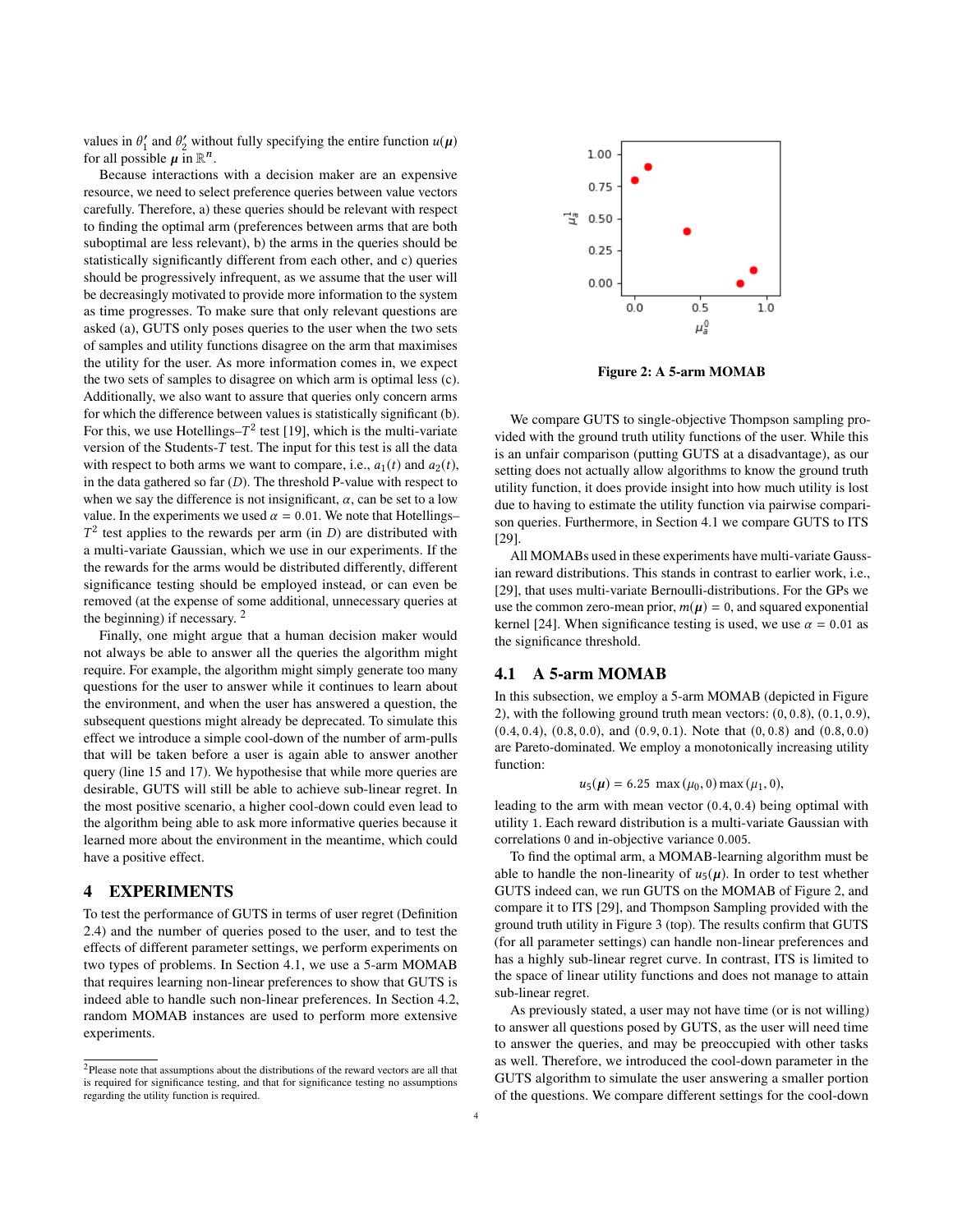values in  $\theta'_1$  and  $\theta'_2$  without fully specifying the entire function  $u(\mu)$ <br>for all possible  $\mu$  in  $\mathbb{R}^n$ for all possible  $\mu$  in  $\mathbb{R}^n$ .<br>Because interactions

Because interactions with a decision maker are an expensive resource, we need to select preference queries between value vectors carefully. Therefore, a) these queries should be relevant with respect to finding the optimal arm (preferences between arms that are both suboptimal are less relevant), b) the arms in the queries should be statistically significantly different from each other, and c) queries should be progressively infrequent, as we assume that the user will be decreasingly motivated to provide more information to the system as time progresses. To make sure that only relevant questions are asked (a), GUTS only poses queries to the user when the two sets of samples and utility functions disagree on the arm that maximises the utility for the user. As more information comes in, we expect the two sets of samples to disagree on which arm is optimal less (c). Additionally, we also want to assure that queries only concern arms for which the difference between values is statistically significant (b). For this, we use Hotellings– $T^2$  test [\[19\]](#page-7-17), which is the multi-variate<br>version of the Students–T test. The input for this test is all the data version of the Students-T test. The input for this test is all the data with respect to both arms we want to compare, i.e.,  $a_1(t)$  and  $a_2(t)$ , in the data gathered so far  $(D)$ . The threshold P-value with respect to when we say the difference is not insignificant,  $\alpha$ , can be set to a low value. In the experiments we used  $\alpha = 0.01$ . We note that Hotellings– a multi-variate Gaussian, which we use in our experiments. If the <sup>2</sup> test applies to the rewards per arm (in  $D$ ) are distributed with multi-variate Gaussian, which we use in our experiments. If the the rewards for the arms would be distributed differently, different significance testing should be employed instead, or can even be removed (at the expense of some additional, unnecessary queries at the beginning) if necessary. [2](#page-3-0)

Finally, one might argue that a human decision maker would not always be able to answer all the queries the algorithm might require. For example, the algorithm might simply generate too many questions for the user to answer while it continues to learn about the environment, and when the user has answered a question, the subsequent questions might already be deprecated. To simulate this effect we introduce a simple cool-down of the number of arm-pulls that will be taken before a user is again able to answer another query (line [15](#page-2-13) and [17\)](#page-2-14). We hypothesise that while more queries are desirable, GUTS will still be able to achieve sub-linear regret. In the most positive scenario, a higher cool-down could even lead to the algorithm being able to ask more informative queries because it learned more about the environment in the meantime, which could have a positive effect.

# **EXPERIMENTS**

To test the performance of GUTS in terms of user regret (Definition [2.4\)](#page-1-1) and the number of queries posed to the user, and to test the effects of different parameter settings, we perform experiments on two types of problems. In Section [4.1,](#page-4-0) we use a 5-arm MOMAB that requires learning non-linear preferences to show that GUTS is indeed able to handle such non-linear preferences. In Section [4.2,](#page-4-1) random MOMAB instances are used to perform more extensive experiments.

<span id="page-3-1"></span>

Figure 2: A 5-arm MOMAB

We compare GUTS to single-objective Thompson sampling provided with the ground truth utility functions of the user. While this is an unfair comparison (putting GUTS at a disadvantage), as our setting does not actually allow algorithms to know the ground truth utility function, it does provide insight into how much utility is lost due to having to estimate the utility function via pairwise comparison queries. Furthermore, in Section [4.1](#page-4-0) we compare GUTS to ITS [\[29\]](#page-7-6).

All MOMABs used in these experiments have multi-variate Gaussian reward distributions. This stands in contrast to earlier work, i.e., [\[29\]](#page-7-6), that uses multi-variate Bernoulli-distributions. For the GPs we use the common zero-mean prior,  $m(\mu) = 0$ , and squared exponential kernel [\[24\]](#page-7-9). When significance testing is used, we use  $\alpha = 0.01$  as the significance threshold.

#### 4.1 A 5-arm MOMAB

In this subsection, we employ a 5-arm MOMAB (depicted in Figure [2\)](#page-3-1), with the following ground truth mean vectors:  $(0, 0.8)$ ,  $(0.1, 0.9)$ ,  $(0.4, 0.4), (0.8, 0.0),$  and  $(0.9, 0.1)$ . Note that  $(0, 0.8)$  and  $(0.8, 0.0)$ are Pareto-dominated. We employ a monotonically increasing utility function:

$$
u_5(\mu) = 6.25 \text{ max } (\mu_0, 0) \text{ max } (\mu_1, 0),
$$

leading to the arm with mean vector  $(0.4, 0.4)$  being optimal with utility 1. Each reward distribution is a multi-variate Gaussian with utility 1. Each reward distribution is a multi-variate Gaussian with correlations <sup>0</sup> and in-objective variance <sup>0</sup>.005.

To find the optimal arm, a MOMAB-learning algorithm must be able to handle the non-linearity of  $u_5(\mu)$ . In order to test whether GUTS indeed can, we run GUTS on the MOMAB of Figure [2,](#page-3-1) and compare it to ITS [\[29\]](#page-7-6), and Thompson Sampling provided with the ground truth utility in Figure [3](#page-4-0) (top). The results confirm that GUTS (for all parameter settings) can handle non-linear preferences and has a highly sub-linear regret curve. In contrast, ITS is limited to the space of linear utility functions and does not manage to attain sub-linear regret.

As previously stated, a user may not have time (or is not willing) to answer all questions posed by GUTS, as the user will need time to answer the queries, and may be preoccupied with other tasks as well. Therefore, we introduced the cool-down parameter in the GUTS algorithm to simulate the user answering a smaller portion of the questions. We compare different settings for the cool-down

<span id="page-3-0"></span> $2$ Please note that assumptions about the distributions of the reward vectors are all that is required for significance testing, and that for significance testing no assumptions regarding the utility function is required.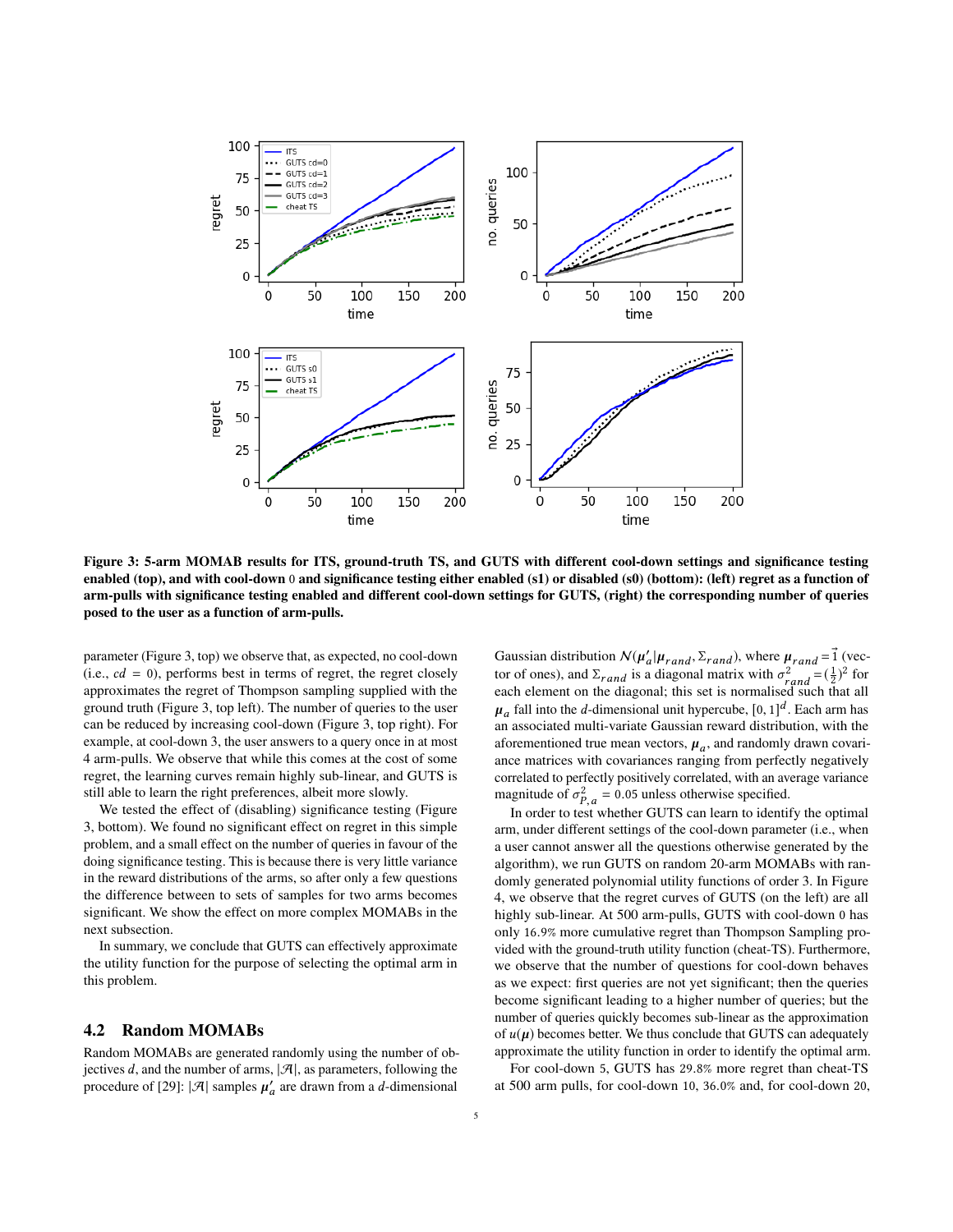<span id="page-4-0"></span>

Figure 3: 5-arm MOMAB results for ITS, ground-truth TS, and GUTS with different cool-down settings and significance testing enabled (top), and with cool-down 0 and significance testing either enabled (s1) or disabled (s0) (bottom): (left) regret as a function of arm-pulls with significance testing enabled and different cool-down settings for GUTS, (right) the corresponding number of queries posed to the user as a function of arm-pulls.

parameter (Figure [3,](#page-4-0) top) we observe that, as expected, no cool-down (i.e.,  $cd = 0$ ), performs best in terms of regret, the regret closely approximates the regret of Thompson sampling supplied with the ground truth (Figure [3,](#page-4-0) top left). The number of queries to the user can be reduced by increasing cool-down (Figure [3,](#page-4-0) top right). For example, at cool-down 3, the user answers to a query once in at most 4 arm-pulls. We observe that while this comes at the cost of some regret, the learning curves remain highly sub-linear, and GUTS is still able to learn the right preferences, albeit more slowly.

We tested the effect of (disabling) significance testing (Figure [3,](#page-4-0) bottom). We found no significant effect on regret in this simple problem, and a small effect on the number of queries in favour of the doing significance testing. This is because there is very little variance in the reward distributions of the arms, so after only a few questions the difference between to sets of samples for two arms becomes significant. We show the effect on more complex MOMABs in the next subsection.

In summary, we conclude that GUTS can effectively approximate the utility function for the purpose of selecting the optimal arm in this problem.

#### <span id="page-4-1"></span>4.2 Random MOMABs

Random MOMABs are generated randomly using the number of objectives  $d$ , and the number of arms,  $|\mathcal{A}|$ , as parameters, following the procedure of [\[29\]](#page-7-6):  $|\mathcal{A}|$  samples  $\mu'_a$  are drawn from a *d*-dimensional

Gaussian distribution  $\mathcal{N}(\mu'_a | \mu_{rand}, \Sigma_{rand})$ , where  $\mu_{rand} = \vec{1}$  (vector of ones), and  $\Sigma$ , is a diagonal matrix with  $\sigma^2 = (-1)^2$  for tor of ones), and  $\Sigma_{rand}$  is a diagonal matrix with  $\sigma_{rand}^2 = (\frac{1}{2})^2$  for each element on the diagonal: this set is normalised such that all each element on the diagonal; this set is normalised such that all  $\mu_a$  and any are a summission and  $\mu_f$  persons,  $\mu_f$ ,  $\mu_f$  and any analytical and associated multi-variate Gaussian reward distribution, with the fall into the *d*-dimensional unit hypercube,  $[0, 1]^d$ . Each arm has<br>associated multi-variate Gaussian reward distribution, with the aforementioned true mean vectors,  $\mu_a$ , and randomly drawn covari-<br>ance matrices with covariances ranging from perfectly negatively ance matrices with covariances ranging from perfectly negatively correlated to perfectly positively correlated, with an average variance magnitude of  $\sigma_{P,q}^2 = 0.05$  unless otherwise specified.<br>In order to test whether GUTS can learn to identify

In order to test whether GUTS can learn to identify the optimal arm, under different settings of the cool-down parameter (i.e., when a user cannot answer all the questions otherwise generated by the algorithm), we run GUTS on random 20-arm MOMABs with randomly generated polynomial utility functions of order 3. In Figure [4,](#page-5-0) we observe that the regret curves of GUTS (on the left) are all highly sub-linear. At 500 arm-pulls, GUTS with cool-down 0 has only <sup>16</sup>.9% more cumulative regret than Thompson Sampling provided with the ground-truth utility function (cheat-TS). Furthermore, we observe that the number of questions for cool-down behaves as we expect: first queries are not yet significant; then the queries become significant leading to a higher number of queries; but the number of queries quickly becomes sub-linear as the approximation of  $u(\mu)$  becomes better. We thus conclude that GUTS can adequately approximate the utility function in order to identify the optimal arm.

For cool-down <sup>5</sup>, GUTS has <sup>29</sup>.8% more regret than cheat-TS at 500 arm pulls, for cool-down <sup>10</sup>, <sup>36</sup>.0% and, for cool-down <sup>20</sup>,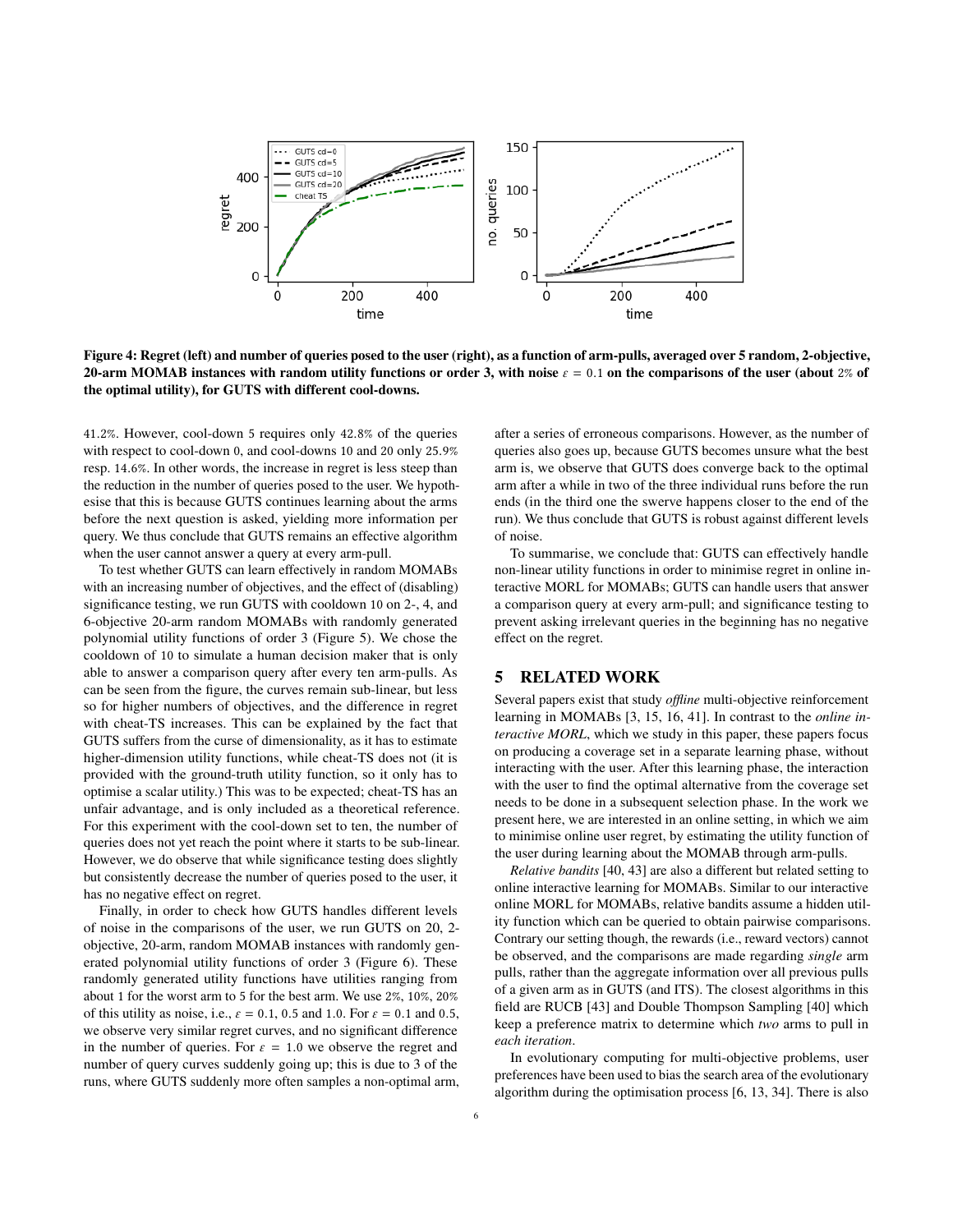<span id="page-5-0"></span>

Figure 4: Regret (left) and number of queries posed to the user (right), as a function of arm-pulls, averaged over 5 random, 2-objective, 20-arm MOMAB instances with random utility functions or order 3, with noise  $\varepsilon = 0.1$  on the comparisons of the user (about 2% of the optimal utility), for GUTS with different cool-downs.

<sup>41</sup>.2%. However, cool-down <sup>5</sup> requires only <sup>42</sup>.8% of the queries with respect to cool-down <sup>0</sup>, and cool-downs <sup>10</sup> and <sup>20</sup> only <sup>25</sup>.9% resp. <sup>14</sup>.6%. In other words, the increase in regret is less steep than the reduction in the number of queries posed to the user. We hypothesise that this is because GUTS continues learning about the arms before the next question is asked, yielding more information per query. We thus conclude that GUTS remains an effective algorithm when the user cannot answer a query at every arm-pull.

To test whether GUTS can learn effectively in random MOMABs with an increasing number of objectives, and the effect of (disabling) significance testing, we run GUTS with cooldown 10 on 2-, 4, and 6-objective 20-arm random MOMABs with randomly generated polynomial utility functions of order 3 (Figure [5\)](#page-6-0). We chose the cooldown of 10 to simulate a human decision maker that is only able to answer a comparison query after every ten arm-pulls. As can be seen from the figure, the curves remain sub-linear, but less so for higher numbers of objectives, and the difference in regret with cheat-TS increases. This can be explained by the fact that GUTS suffers from the curse of dimensionality, as it has to estimate higher-dimension utility functions, while cheat-TS does not (it is provided with the ground-truth utility function, so it only has to optimise a scalar utility.) This was to be expected; cheat-TS has an unfair advantage, and is only included as a theoretical reference. For this experiment with the cool-down set to ten, the number of queries does not yet reach the point where it starts to be sub-linear. However, we do observe that while significance testing does slightly but consistently decrease the number of queries posed to the user, it has no negative effect on regret.

Finally, in order to check how GUTS handles different levels of noise in the comparisons of the user, we run GUTS on 20, 2 objective, 20-arm, random MOMAB instances with randomly generated polynomial utility functions of order 3 (Figure [6\)](#page-6-1). These randomly generated utility functions have utilities ranging from about 1 for the worst arm to 5 for the best arm. We use 2%, 10%, 20% of this utility as noise, i.e.,  $\varepsilon = 0.1$ , 0.5 and 1.0. For  $\varepsilon = 0.1$  and 0.5, we observe very similar regret curves, and no significant difference in the number of queries. For  $\varepsilon = 1.0$  we observe the regret and number of query curves suddenly going up; this is due to 3 of the runs, where GUTS suddenly more often samples a non-optimal arm,

after a series of erroneous comparisons. However, as the number of queries also goes up, because GUTS becomes unsure what the best arm is, we observe that GUTS does converge back to the optimal arm after a while in two of the three individual runs before the run ends (in the third one the swerve happens closer to the end of the run). We thus conclude that GUTS is robust against different levels of noise.

To summarise, we conclude that: GUTS can effectively handle non-linear utility functions in order to minimise regret in online interactive MORL for MOMABs; GUTS can handle users that answer a comparison query at every arm-pull; and significance testing to prevent asking irrelevant queries in the beginning has no negative effect on the regret.

### 5 RELATED WORK

Several papers exist that study *offline* multi-objective reinforcement learning in MOMABs [\[3,](#page-7-2) [15,](#page-7-4) [16,](#page-7-3) [41\]](#page-7-5). In contrast to the *online interactive MORL*, which we study in this paper, these papers focus on producing a coverage set in a separate learning phase, without interacting with the user. After this learning phase, the interaction with the user to find the optimal alternative from the coverage set needs to be done in a subsequent selection phase. In the work we present here, we are interested in an online setting, in which we aim to minimise online user regret, by estimating the utility function of the user during learning about the MOMAB through arm-pulls.

*Relative bandits* [\[40,](#page-7-18) [43\]](#page-7-19) are also a different but related setting to online interactive learning for MOMABs. Similar to our interactive online MORL for MOMABs, relative bandits assume a hidden utility function which can be queried to obtain pairwise comparisons. Contrary our setting though, the rewards (i.e., reward vectors) cannot be observed, and the comparisons are made regarding *single* arm pulls, rather than the aggregate information over all previous pulls of a given arm as in GUTS (and ITS). The closest algorithms in this field are RUCB [\[43\]](#page-7-19) and Double Thompson Sampling [\[40\]](#page-7-18) which keep a preference matrix to determine which *two* arms to pull in *each iteration*.

In evolutionary computing for multi-objective problems, user preferences have been used to bias the search area of the evolutionary algorithm during the optimisation process [\[6,](#page-7-20) [13,](#page-7-21) [34\]](#page-7-22). There is also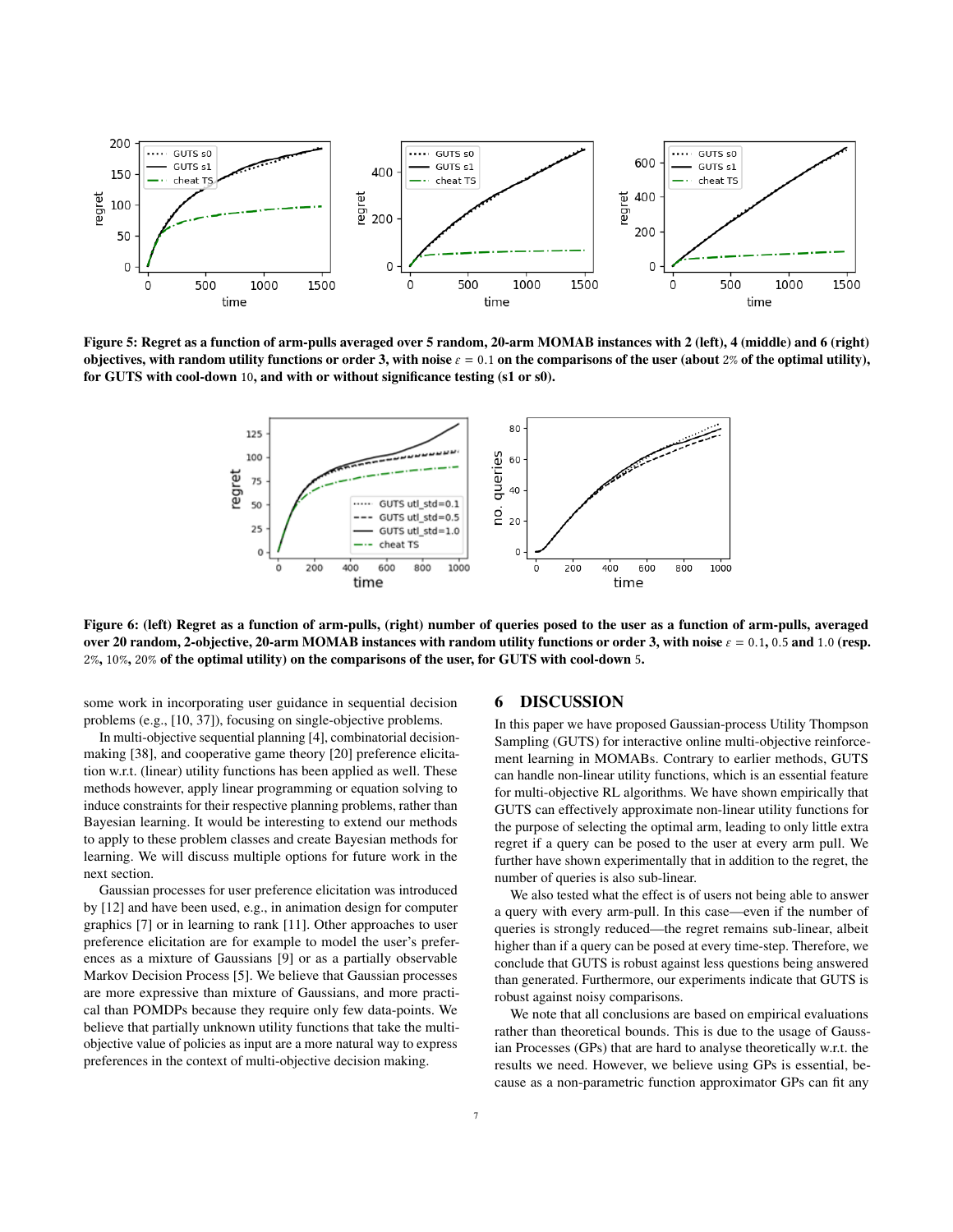<span id="page-6-0"></span>

<span id="page-6-1"></span>Figure 5: Regret as a function of arm-pulls averaged over 5 random, 20-arm MOMAB instances with 2 (left), 4 (middle) and 6 (right) objectives, with random utility functions or order 3, with noise  $\varepsilon = 0.1$  on the comparisons of the user (about 2% of the optimal utility), for GUTS with cool-down 10, and with or without significance testing (s1 or s0).



Figure 6: (left) Regret as a function of arm-pulls, (right) number of queries posed to the user as a function of arm-pulls, averaged over 20 random, 2-objective, 20-arm MOMAB instances with random utility functions or order 3, with noise  $\varepsilon = 0.1$ , 0.5 and 1.0 (resp. 2%, 10%, 20% of the optimal utility) on the comparisons of the user, for GUTS with cool-down 5.

some work in incorporating user guidance in sequential decision problems (e.g., [\[10,](#page-7-23) [37\]](#page-7-24)), focusing on single-objective problems.

In multi-objective sequential planning [\[4\]](#page-7-25), combinatorial decisionmaking [\[38\]](#page-7-26), and cooperative game theory [\[20\]](#page-7-27) preference elicitation w.r.t. (linear) utility functions has been applied as well. These methods however, apply linear programming or equation solving to induce constraints for their respective planning problems, rather than Bayesian learning. It would be interesting to extend our methods to apply to these problem classes and create Bayesian methods for learning. We will discuss multiple options for future work in the next section.

Gaussian processes for user preference elicitation was introduced by [\[12\]](#page-7-8) and have been used, e.g., in animation design for computer graphics [\[7\]](#page-7-28) or in learning to rank [\[11\]](#page-7-29). Other approaches to user preference elicitation are for example to model the user's preferences as a mixture of Gaussians [\[9\]](#page-7-30) or as a partially observable Markov Decision Process [\[5\]](#page-7-31). We believe that Gaussian processes are more expressive than mixture of Gaussians, and more practical than POMDPs because they require only few data-points. We believe that partially unknown utility functions that take the multiobjective value of policies as input are a more natural way to express preferences in the context of multi-objective decision making.

#### 6 DISCUSSION

In this paper we have proposed Gaussian-process Utility Thompson Sampling (GUTS) for interactive online multi-objective reinforcement learning in MOMABs. Contrary to earlier methods, GUTS can handle non-linear utility functions, which is an essential feature for multi-objective RL algorithms. We have shown empirically that GUTS can effectively approximate non-linear utility functions for the purpose of selecting the optimal arm, leading to only little extra regret if a query can be posed to the user at every arm pull. We further have shown experimentally that in addition to the regret, the number of queries is also sub-linear.

We also tested what the effect is of users not being able to answer a query with every arm-pull. In this case—even if the number of queries is strongly reduced—the regret remains sub-linear, albeit higher than if a query can be posed at every time-step. Therefore, we conclude that GUTS is robust against less questions being answered than generated. Furthermore, our experiments indicate that GUTS is robust against noisy comparisons.

We note that all conclusions are based on empirical evaluations rather than theoretical bounds. This is due to the usage of Gaussian Processes (GPs) that are hard to analyse theoretically w.r.t. the results we need. However, we believe using GPs is essential, because as a non-parametric function approximator GPs can fit any